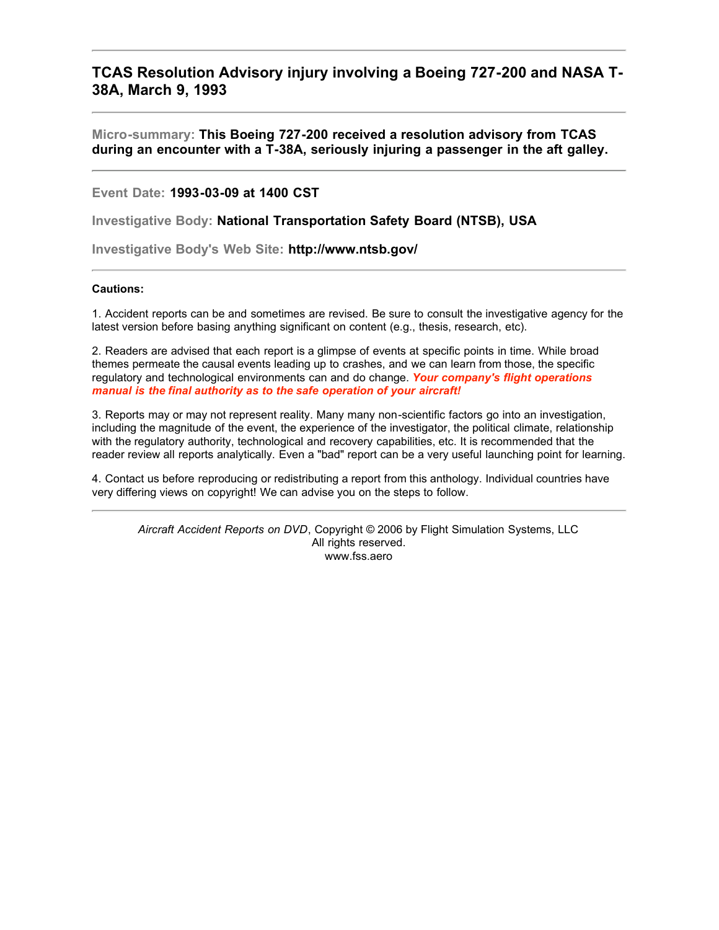## **TCAS Resolution Advisory injury involving a Boeing 727-200 and NASA T-38A, March 9, 1993**

**Micro-summary: This Boeing 727-200 received a resolution advisory from TCAS during an encounter with a T-38A, seriously injuring a passenger in the aft galley.**

**Event Date: 1993-03-09 at 1400 CST**

**Investigative Body: National Transportation Safety Board (NTSB), USA**

**Investigative Body's Web Site: http://www.ntsb.gov/**

## **Cautions:**

1. Accident reports can be and sometimes are revised. Be sure to consult the investigative agency for the latest version before basing anything significant on content (e.g., thesis, research, etc).

2. Readers are advised that each report is a glimpse of events at specific points in time. While broad themes permeate the causal events leading up to crashes, and we can learn from those, the specific regulatory and technological environments can and do change. *Your company's flight operations manual is the final authority as to the safe operation of your aircraft!*

3. Reports may or may not represent reality. Many many non-scientific factors go into an investigation, including the magnitude of the event, the experience of the investigator, the political climate, relationship with the regulatory authority, technological and recovery capabilities, etc. It is recommended that the reader review all reports analytically. Even a "bad" report can be a very useful launching point for learning.

4. Contact us before reproducing or redistributing a report from this anthology. Individual countries have very differing views on copyright! We can advise you on the steps to follow.

*Aircraft Accident Reports on DVD*, Copyright © 2006 by Flight Simulation Systems, LLC All rights reserved. www.fss.aero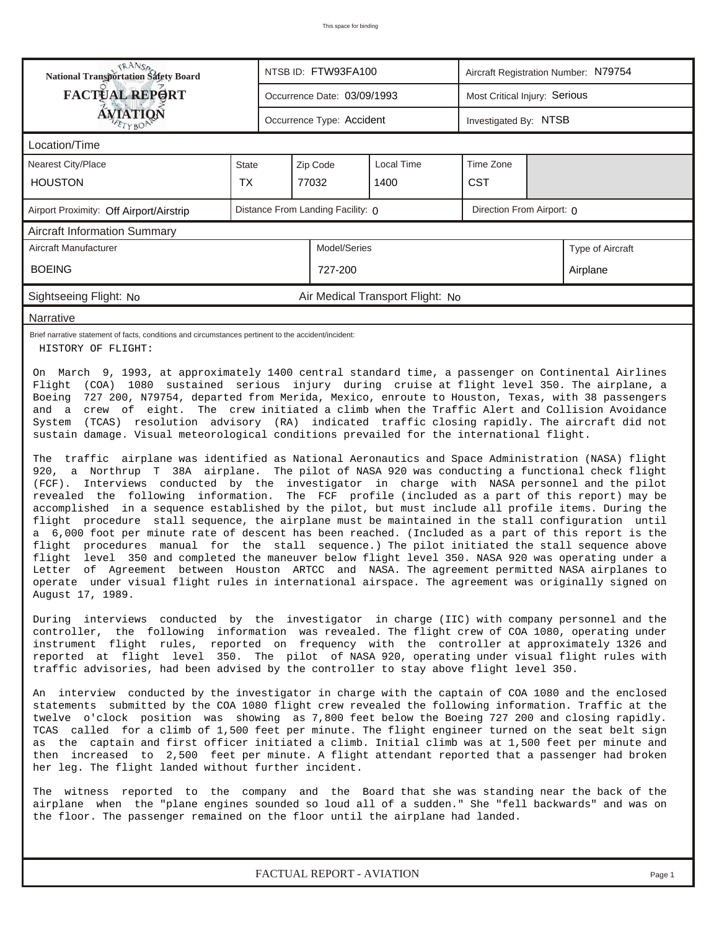| <b>National Transportation Safety Board</b>                                                                                                                                                                                                                                                                                                                                                                                                                                                                                                                                                                                                                                                                                                                                                                                                                                                                                                                                                                                                                                                                                                                                                                                                                                                                                                                                                                                                                                                                                                                                                                                                                                                                                                                                                                                                                                                                                                                                                                                                                                                                                                                                                                                                                                                                                                                                                                                                                                                                                                                                                                                                                                                                                                                                                                                                                                                                                                                                                                                                                                                                                                                                                                                                                               |              |  | NTSB ID: FTW93FA100         |                                  |            | Aircraft Registration Number: N79754 |                  |  |  |  |  |
|---------------------------------------------------------------------------------------------------------------------------------------------------------------------------------------------------------------------------------------------------------------------------------------------------------------------------------------------------------------------------------------------------------------------------------------------------------------------------------------------------------------------------------------------------------------------------------------------------------------------------------------------------------------------------------------------------------------------------------------------------------------------------------------------------------------------------------------------------------------------------------------------------------------------------------------------------------------------------------------------------------------------------------------------------------------------------------------------------------------------------------------------------------------------------------------------------------------------------------------------------------------------------------------------------------------------------------------------------------------------------------------------------------------------------------------------------------------------------------------------------------------------------------------------------------------------------------------------------------------------------------------------------------------------------------------------------------------------------------------------------------------------------------------------------------------------------------------------------------------------------------------------------------------------------------------------------------------------------------------------------------------------------------------------------------------------------------------------------------------------------------------------------------------------------------------------------------------------------------------------------------------------------------------------------------------------------------------------------------------------------------------------------------------------------------------------------------------------------------------------------------------------------------------------------------------------------------------------------------------------------------------------------------------------------------------------------------------------------------------------------------------------------------------------------------------------------------------------------------------------------------------------------------------------------------------------------------------------------------------------------------------------------------------------------------------------------------------------------------------------------------------------------------------------------------------------------------------------------------------------------------------------------|--------------|--|-----------------------------|----------------------------------|------------|--------------------------------------|------------------|--|--|--|--|
| <b>FACTUAL REPORT</b>                                                                                                                                                                                                                                                                                                                                                                                                                                                                                                                                                                                                                                                                                                                                                                                                                                                                                                                                                                                                                                                                                                                                                                                                                                                                                                                                                                                                                                                                                                                                                                                                                                                                                                                                                                                                                                                                                                                                                                                                                                                                                                                                                                                                                                                                                                                                                                                                                                                                                                                                                                                                                                                                                                                                                                                                                                                                                                                                                                                                                                                                                                                                                                                                                                                     |              |  | Occurrence Date: 03/09/1993 |                                  |            | Most Critical Injury: Serious        |                  |  |  |  |  |
| ÁVIATIQN                                                                                                                                                                                                                                                                                                                                                                                                                                                                                                                                                                                                                                                                                                                                                                                                                                                                                                                                                                                                                                                                                                                                                                                                                                                                                                                                                                                                                                                                                                                                                                                                                                                                                                                                                                                                                                                                                                                                                                                                                                                                                                                                                                                                                                                                                                                                                                                                                                                                                                                                                                                                                                                                                                                                                                                                                                                                                                                                                                                                                                                                                                                                                                                                                                                                  |              |  | Occurrence Type: Accident   |                                  |            | Investigated By: NTSB                |                  |  |  |  |  |
| Location/Time                                                                                                                                                                                                                                                                                                                                                                                                                                                                                                                                                                                                                                                                                                                                                                                                                                                                                                                                                                                                                                                                                                                                                                                                                                                                                                                                                                                                                                                                                                                                                                                                                                                                                                                                                                                                                                                                                                                                                                                                                                                                                                                                                                                                                                                                                                                                                                                                                                                                                                                                                                                                                                                                                                                                                                                                                                                                                                                                                                                                                                                                                                                                                                                                                                                             |              |  |                             |                                  |            |                                      |                  |  |  |  |  |
| Nearest City/Place                                                                                                                                                                                                                                                                                                                                                                                                                                                                                                                                                                                                                                                                                                                                                                                                                                                                                                                                                                                                                                                                                                                                                                                                                                                                                                                                                                                                                                                                                                                                                                                                                                                                                                                                                                                                                                                                                                                                                                                                                                                                                                                                                                                                                                                                                                                                                                                                                                                                                                                                                                                                                                                                                                                                                                                                                                                                                                                                                                                                                                                                                                                                                                                                                                                        | <b>State</b> |  | Zip Code                    | Local Time                       | Time Zone  |                                      |                  |  |  |  |  |
| <b>HOUSTON</b>                                                                                                                                                                                                                                                                                                                                                                                                                                                                                                                                                                                                                                                                                                                                                                                                                                                                                                                                                                                                                                                                                                                                                                                                                                                                                                                                                                                                                                                                                                                                                                                                                                                                                                                                                                                                                                                                                                                                                                                                                                                                                                                                                                                                                                                                                                                                                                                                                                                                                                                                                                                                                                                                                                                                                                                                                                                                                                                                                                                                                                                                                                                                                                                                                                                            | <b>TX</b>    |  | 77032                       | 1400                             | <b>CST</b> |                                      |                  |  |  |  |  |
| Distance From Landing Facility: 0<br>Direction From Airport: 0<br>Airport Proximity: Off Airport/Airstrip                                                                                                                                                                                                                                                                                                                                                                                                                                                                                                                                                                                                                                                                                                                                                                                                                                                                                                                                                                                                                                                                                                                                                                                                                                                                                                                                                                                                                                                                                                                                                                                                                                                                                                                                                                                                                                                                                                                                                                                                                                                                                                                                                                                                                                                                                                                                                                                                                                                                                                                                                                                                                                                                                                                                                                                                                                                                                                                                                                                                                                                                                                                                                                 |              |  |                             |                                  |            |                                      |                  |  |  |  |  |
| <b>Aircraft Information Summary</b>                                                                                                                                                                                                                                                                                                                                                                                                                                                                                                                                                                                                                                                                                                                                                                                                                                                                                                                                                                                                                                                                                                                                                                                                                                                                                                                                                                                                                                                                                                                                                                                                                                                                                                                                                                                                                                                                                                                                                                                                                                                                                                                                                                                                                                                                                                                                                                                                                                                                                                                                                                                                                                                                                                                                                                                                                                                                                                                                                                                                                                                                                                                                                                                                                                       |              |  |                             |                                  |            |                                      |                  |  |  |  |  |
| Aircraft Manufacturer                                                                                                                                                                                                                                                                                                                                                                                                                                                                                                                                                                                                                                                                                                                                                                                                                                                                                                                                                                                                                                                                                                                                                                                                                                                                                                                                                                                                                                                                                                                                                                                                                                                                                                                                                                                                                                                                                                                                                                                                                                                                                                                                                                                                                                                                                                                                                                                                                                                                                                                                                                                                                                                                                                                                                                                                                                                                                                                                                                                                                                                                                                                                                                                                                                                     |              |  | Model/Series                |                                  |            |                                      | Type of Aircraft |  |  |  |  |
| <b>BOEING</b>                                                                                                                                                                                                                                                                                                                                                                                                                                                                                                                                                                                                                                                                                                                                                                                                                                                                                                                                                                                                                                                                                                                                                                                                                                                                                                                                                                                                                                                                                                                                                                                                                                                                                                                                                                                                                                                                                                                                                                                                                                                                                                                                                                                                                                                                                                                                                                                                                                                                                                                                                                                                                                                                                                                                                                                                                                                                                                                                                                                                                                                                                                                                                                                                                                                             |              |  | 727-200                     |                                  |            |                                      | Airplane         |  |  |  |  |
| Sightseeing Flight: No                                                                                                                                                                                                                                                                                                                                                                                                                                                                                                                                                                                                                                                                                                                                                                                                                                                                                                                                                                                                                                                                                                                                                                                                                                                                                                                                                                                                                                                                                                                                                                                                                                                                                                                                                                                                                                                                                                                                                                                                                                                                                                                                                                                                                                                                                                                                                                                                                                                                                                                                                                                                                                                                                                                                                                                                                                                                                                                                                                                                                                                                                                                                                                                                                                                    |              |  |                             | Air Medical Transport Flight: No |            |                                      |                  |  |  |  |  |
| Narrative                                                                                                                                                                                                                                                                                                                                                                                                                                                                                                                                                                                                                                                                                                                                                                                                                                                                                                                                                                                                                                                                                                                                                                                                                                                                                                                                                                                                                                                                                                                                                                                                                                                                                                                                                                                                                                                                                                                                                                                                                                                                                                                                                                                                                                                                                                                                                                                                                                                                                                                                                                                                                                                                                                                                                                                                                                                                                                                                                                                                                                                                                                                                                                                                                                                                 |              |  |                             |                                  |            |                                      |                  |  |  |  |  |
| Brief narrative statement of facts, conditions and circumstances pertinent to the accident/incident:<br>HISTORY OF FLIGHT:                                                                                                                                                                                                                                                                                                                                                                                                                                                                                                                                                                                                                                                                                                                                                                                                                                                                                                                                                                                                                                                                                                                                                                                                                                                                                                                                                                                                                                                                                                                                                                                                                                                                                                                                                                                                                                                                                                                                                                                                                                                                                                                                                                                                                                                                                                                                                                                                                                                                                                                                                                                                                                                                                                                                                                                                                                                                                                                                                                                                                                                                                                                                                |              |  |                             |                                  |            |                                      |                  |  |  |  |  |
| On March 9, 1993, at approximately 1400 central standard time, a passenger on Continental Airlines<br>Flight (COA) 1080 sustained serious injury during cruise at flight level 350. The airplane, a<br>727 200, N79754, departed from Merida, Mexico, enroute to Houston, Texas, with 38 passengers<br>Boeing<br>and a crew of eight. The crew initiated a climb when the Traffic Alert and Collision Avoidance<br>(TCAS) resolution advisory (RA) indicated traffic closing rapidly. The aircraft did not<br>System<br>sustain damage. Visual meteorological conditions prevailed for the international flight.<br>The traffic airplane was identified as National Aeronautics and Space Administration (NASA) flight<br>920, a Northrup T 38A airplane. The pilot of NASA 920 was conducting a functional check flight<br>Interviews conducted by the investigator in charge with NASA personnel and the pilot<br>$(FCF)$ .<br>revealed the following information. The FCF profile (included as a part of this report) may be<br>accomplished in a sequence established by the pilot, but must include all profile items. During the<br>flight procedure stall sequence, the airplane must be maintained in the stall configuration until<br>a 6,000 foot per minute rate of descent has been reached. (Included as a part of this report is the<br>flight procedures manual for the stall sequence.) The pilot initiated the stall sequence above<br>level 350 and completed the maneuver below flight level 350. NASA 920 was operating under a<br>flight<br>Letter of Agreement between Houston ARTCC and NASA. The agreement permitted NASA airplanes to<br>operate under visual flight rules in international airspace. The agreement was originally signed on<br>August 17, 1989.<br>During interviews conducted by the investigator in charge (IIC) with company personnel and the<br>controller, the following information was revealed. The flight crew of COA 1080, operating under<br>instrument flight rules, reported on frequency with the controller at approximately 1326 and<br>reported at flight level 350. The pilot of NASA 920, operating under visual flight rules with<br>traffic advisories, had been advised by the controller to stay above flight level 350.<br>An interview conducted by the investigator in charge with the captain of COA 1080 and the enclosed<br>statements submitted by the COA 1080 flight crew revealed the following information. Traffic at the<br>twelve o'clock position was showing as 7,800 feet below the Boeing 727 200 and closing rapidly.<br>TCAS called for a climb of 1,500 feet per minute. The flight engineer turned on the seat belt sign<br>as the captain and first officer initiated a climb. Initial climb was at 1,500 feet per minute and<br>then increased to 2,500 feet per minute. A flight attendant reported that a passenger had broken<br>her leg. The flight landed without further incident.<br>The witness reported to the company and the Board that she was standing near the back of the<br>airplane when the "plane engines sounded so loud all of a sudden." She "fell backwards" and was on<br>the floor. The passenger remained on the floor until the airplane had landed. |              |  |                             |                                  |            |                                      |                  |  |  |  |  |

*FACTUAL REPORT - AVIATION Page 1*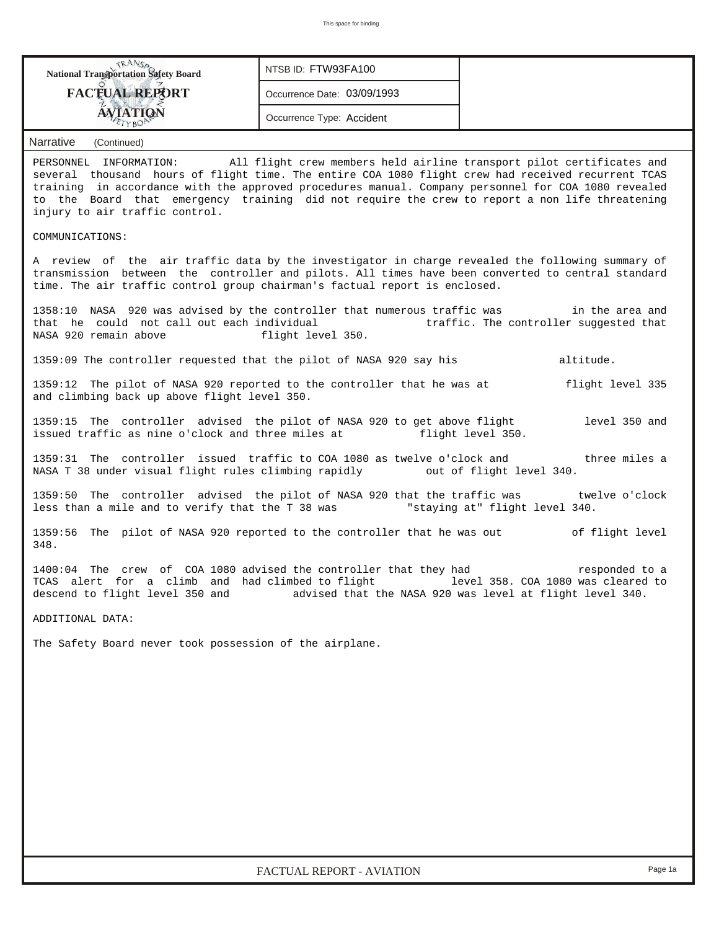| <b>National Transportation Safety Board</b>                                                                                                                                                                                                                                                                                                                             | NTSB ID: FTW93FA100         |                                                                                                                  |
|-------------------------------------------------------------------------------------------------------------------------------------------------------------------------------------------------------------------------------------------------------------------------------------------------------------------------------------------------------------------------|-----------------------------|------------------------------------------------------------------------------------------------------------------|
| <b>FACTUAL REPORT</b>                                                                                                                                                                                                                                                                                                                                                   | Occurrence Date: 03/09/1993 |                                                                                                                  |
| <b>AVIATION</b><br>TYBO                                                                                                                                                                                                                                                                                                                                                 | Occurrence Type: Accident   |                                                                                                                  |
| <b>Narrative</b><br>(Continued)                                                                                                                                                                                                                                                                                                                                         |                             |                                                                                                                  |
| PERSONNEL INFORMATION:<br>several thousand hours of flight time. The entire COA 1080 flight crew had received recurrent TCAS<br>training in accordance with the approved procedures manual. Company personnel for COA 1080 revealed<br>to the Board that emergency training did not require the crew to report a non life threatening<br>injury to air traffic control. |                             | All flight crew members held airline transport pilot certificates and                                            |
| COMMUNICATIONS:                                                                                                                                                                                                                                                                                                                                                         |                             |                                                                                                                  |
| A review of the air traffic data by the investigator in charge revealed the following summary of<br>transmission between the controller and pilots. All times have been converted to central standard<br>time. The air traffic control group chairman's factual report is enclosed.                                                                                     |                             |                                                                                                                  |
| 1358:10 NASA 920 was advised by the controller that numerous traffic was fin the area and<br>that he could not call out each individual<br>NASA 920 remain above                                                                                                                                                                                                        | flight level 350.           | traffic. The controller suggested that                                                                           |
| 1359:09 The controller requested that the pilot of NASA 920 say his                                                                                                                                                                                                                                                                                                     |                             | altitude.                                                                                                        |
| 1359:12 The pilot of NASA 920 reported to the controller that he was at<br>and climbing back up above flight level 350.                                                                                                                                                                                                                                                 |                             | flight level 335                                                                                                 |
| 1359:15 The controller advised the pilot of NASA 920 to get above flight<br>issued traffic as nine o'clock and three miles at                                                                                                                                                                                                                                           |                             | level 350 and<br>flight level 350.                                                                               |
| 1359:31 The controller issued traffic to COA 1080 as twelve o'clock and<br>NASA T 38 under visual flight rules climbing rapidly                                                                                                                                                                                                                                         |                             | three miles a<br>out of flight level 340.                                                                        |
| 1359:50 The controller advised the pilot of NASA 920 that the traffic was twelve o'clock<br>less than a mile and to verify that the T 38 was "staying at" flight level 340.                                                                                                                                                                                             |                             |                                                                                                                  |
| 1359:56 The pilot of NASA 920 reported to the controller that he was out<br>348.                                                                                                                                                                                                                                                                                        |                             | of flight level                                                                                                  |
| 1400:04 The crew of COA 1080 advised the controller that they had<br>TCAS alert for a climb and had climbed to flight<br>descend to flight level 350 and                                                                                                                                                                                                                |                             | responded to a<br>level 358. COA 1080 was cleared to<br>advised that the NASA 920 was level at flight level 340. |
| ADDITIONAL DATA:                                                                                                                                                                                                                                                                                                                                                        |                             |                                                                                                                  |
| The Safety Board never took possession of the airplane.                                                                                                                                                                                                                                                                                                                 |                             |                                                                                                                  |
|                                                                                                                                                                                                                                                                                                                                                                         |                             |                                                                                                                  |
|                                                                                                                                                                                                                                                                                                                                                                         |                             |                                                                                                                  |
|                                                                                                                                                                                                                                                                                                                                                                         |                             |                                                                                                                  |
|                                                                                                                                                                                                                                                                                                                                                                         |                             |                                                                                                                  |
|                                                                                                                                                                                                                                                                                                                                                                         |                             |                                                                                                                  |
|                                                                                                                                                                                                                                                                                                                                                                         |                             |                                                                                                                  |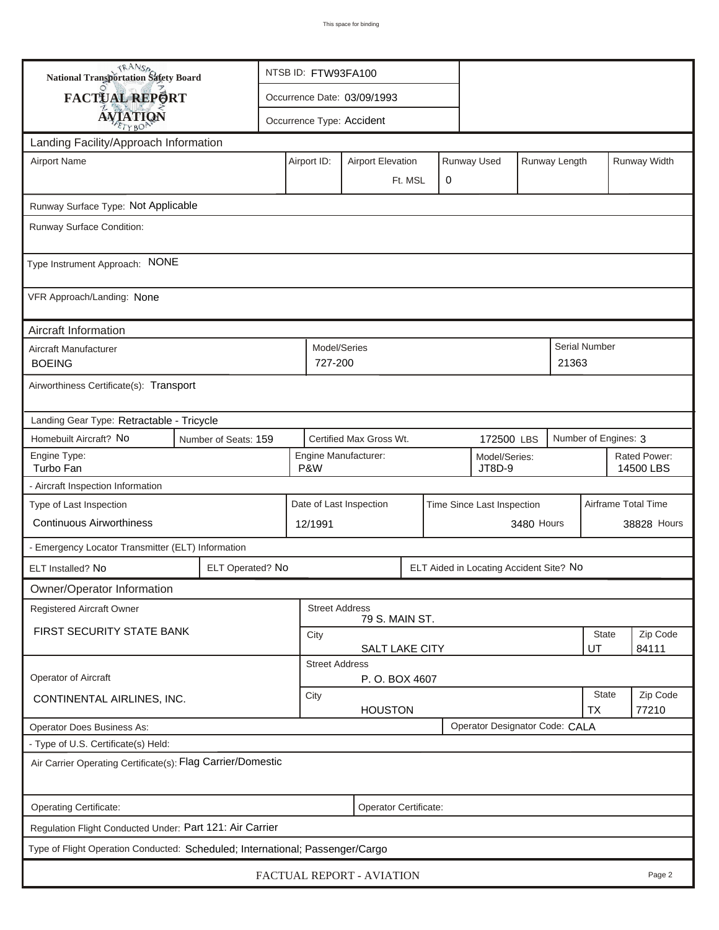| <b>National Transportation Safety Board</b>                                   |                                | NTSB ID: FTW93FA100         |                                                       |                           |   |  |                                         |                           |                   |                           |              |  |
|-------------------------------------------------------------------------------|--------------------------------|-----------------------------|-------------------------------------------------------|---------------------------|---|--|-----------------------------------------|---------------------------|-------------------|---------------------------|--------------|--|
| <b>FACTUAL REPORT</b>                                                         |                                | Occurrence Date: 03/09/1993 |                                                       |                           |   |  |                                         |                           |                   |                           |              |  |
| <b>AVIATION</b>                                                               |                                |                             |                                                       | Occurrence Type: Accident |   |  |                                         |                           |                   |                           |              |  |
| Landing Facility/Approach Information                                         |                                |                             |                                                       |                           |   |  |                                         |                           |                   |                           |              |  |
| <b>Airport Name</b>                                                           |                                |                             | Airport ID:                                           | <b>Airport Elevation</b>  |   |  | Runway Used                             |                           | Runway Length     |                           | Runway Width |  |
|                                                                               |                                |                             |                                                       | Ft. MSL                   | 0 |  |                                         |                           |                   |                           |              |  |
| Runway Surface Type: Not Applicable                                           |                                |                             |                                                       |                           |   |  |                                         |                           |                   |                           |              |  |
| Runway Surface Condition:                                                     |                                |                             |                                                       |                           |   |  |                                         |                           |                   |                           |              |  |
| Type Instrument Approach: NONE                                                |                                |                             |                                                       |                           |   |  |                                         |                           |                   |                           |              |  |
| VFR Approach/Landing: None                                                    |                                |                             |                                                       |                           |   |  |                                         |                           |                   |                           |              |  |
| Aircraft Information                                                          |                                |                             |                                                       |                           |   |  |                                         |                           |                   |                           |              |  |
| Aircraft Manufacturer<br><b>BOEING</b>                                        |                                |                             | Model/Series<br>727-200                               |                           |   |  |                                         |                           | 21363             | <b>Serial Number</b>      |              |  |
| Airworthiness Certificate(s): Transport                                       |                                |                             |                                                       |                           |   |  |                                         |                           |                   |                           |              |  |
| Landing Gear Type: Retractable - Tricycle                                     |                                |                             |                                                       |                           |   |  |                                         |                           |                   |                           |              |  |
| Homebuilt Aircraft? No                                                        | Number of Seats: 159           |                             |                                                       | Certified Max Gross Wt.   |   |  | 172500 LBS                              |                           |                   | Number of Engines: 3      |              |  |
| Engine Type:<br>Turbo Fan                                                     |                                |                             | P&W                                                   | Engine Manufacturer:      |   |  | Model/Series:<br>JT8D-9                 |                           |                   | Rated Power:<br>14500 LBS |              |  |
| - Aircraft Inspection Information                                             |                                |                             |                                                       |                           |   |  |                                         |                           |                   |                           |              |  |
| Type of Last Inspection                                                       |                                |                             | Date of Last Inspection<br>Time Since Last Inspection |                           |   |  |                                         |                           |                   | Airframe Total Time       |              |  |
| <b>Continuous Airworthiness</b>                                               |                                |                             | 12/1991                                               |                           |   |  |                                         | 3480 Hours                |                   |                           | 38828 Hours  |  |
| - Emergency Locator Transmitter (ELT) Information                             |                                |                             |                                                       |                           |   |  |                                         |                           |                   |                           |              |  |
| ELT Installed? No                                                             | ELT Operated? No               |                             |                                                       |                           |   |  | ELT Aided in Locating Accident Site? No |                           |                   |                           |              |  |
| Owner/Operator Information                                                    |                                |                             |                                                       |                           |   |  |                                         |                           |                   |                           |              |  |
| Registered Aircraft Owner                                                     |                                |                             | <b>Street Address</b>                                 | 79 S. MAIN ST.            |   |  |                                         |                           |                   |                           |              |  |
| FIRST SECURITY STATE BANK                                                     |                                | City                        |                                                       |                           |   |  |                                         |                           | State             | Zip Code                  |              |  |
|                                                                               |                                |                             | <b>Street Address</b>                                 | SALT LAKE CITY            |   |  |                                         |                           |                   | UT                        | 84111        |  |
| <b>Operator of Aircraft</b>                                                   |                                |                             |                                                       | P.O. BOX 4607             |   |  |                                         |                           |                   |                           |              |  |
| CONTINENTAL AIRLINES, INC.                                                    |                                | City<br><b>HOUSTON</b>      |                                                       |                           |   |  |                                         | <b>State</b><br><b>TX</b> | Zip Code<br>77210 |                           |              |  |
| Operator Does Business As:                                                    | Operator Designator Code: CALA |                             |                                                       |                           |   |  |                                         |                           |                   |                           |              |  |
| - Type of U.S. Certificate(s) Held:                                           |                                |                             |                                                       |                           |   |  |                                         |                           |                   |                           |              |  |
| Air Carrier Operating Certificate(s): Flag Carrier/Domestic                   |                                |                             |                                                       |                           |   |  |                                         |                           |                   |                           |              |  |
| Operating Certificate:<br>Operator Certificate:                               |                                |                             |                                                       |                           |   |  |                                         |                           |                   |                           |              |  |
| Regulation Flight Conducted Under: Part 121: Air Carrier                      |                                |                             |                                                       |                           |   |  |                                         |                           |                   |                           |              |  |
| Type of Flight Operation Conducted: Scheduled; International; Passenger/Cargo |                                |                             |                                                       |                           |   |  |                                         |                           |                   |                           |              |  |
| FACTUAL REPORT - AVIATION<br>Page 2                                           |                                |                             |                                                       |                           |   |  |                                         |                           |                   |                           |              |  |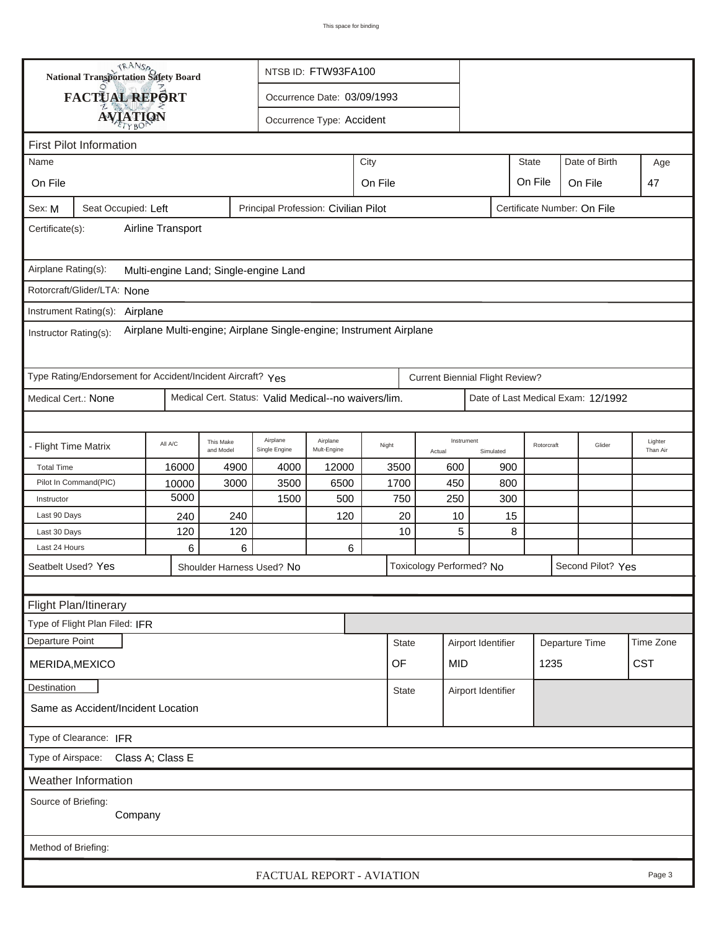|                                                                                                                               | TRANSA<br>NTSB ID: FTW93FA100<br><b>National Transportation Safety Board</b> |          |                           |                                                      |                                     |                 |                          |                                        |              |                                    |                     |  |  |  |
|-------------------------------------------------------------------------------------------------------------------------------|------------------------------------------------------------------------------|----------|---------------------------|------------------------------------------------------|-------------------------------------|-----------------|--------------------------|----------------------------------------|--------------|------------------------------------|---------------------|--|--|--|
|                                                                                                                               | FACTUAL REPORT                                                               |          |                           |                                                      | Occurrence Date: 03/09/1993         |                 |                          |                                        |              |                                    |                     |  |  |  |
|                                                                                                                               |                                                                              |          |                           |                                                      |                                     |                 |                          |                                        |              |                                    |                     |  |  |  |
| <b>AVIATION</b><br>Occurrence Type: Accident                                                                                  |                                                                              |          |                           |                                                      |                                     |                 |                          |                                        |              |                                    |                     |  |  |  |
| <b>First Pilot Information</b>                                                                                                |                                                                              |          |                           |                                                      |                                     |                 |                          |                                        |              |                                    |                     |  |  |  |
| Name                                                                                                                          |                                                                              |          |                           |                                                      |                                     | City            |                          |                                        | <b>State</b> | Date of Birth                      | Age                 |  |  |  |
| On File                                                                                                                       |                                                                              |          |                           |                                                      | On File<br>On File<br>On File<br>47 |                 |                          |                                        |              |                                    |                     |  |  |  |
| Principal Profession: Civilian Pilot<br>Certificate Number: On File<br>Sex: M<br>Seat Occupied: Left                          |                                                                              |          |                           |                                                      |                                     |                 |                          |                                        |              |                                    |                     |  |  |  |
| Airline Transport<br>Certificate(s):                                                                                          |                                                                              |          |                           |                                                      |                                     |                 |                          |                                        |              |                                    |                     |  |  |  |
| Airplane Rating(s):<br>Multi-engine Land; Single-engine Land                                                                  |                                                                              |          |                           |                                                      |                                     |                 |                          |                                        |              |                                    |                     |  |  |  |
|                                                                                                                               | Rotorcraft/Glider/LTA: None                                                  |          |                           |                                                      |                                     |                 |                          |                                        |              |                                    |                     |  |  |  |
|                                                                                                                               |                                                                              |          |                           |                                                      |                                     |                 |                          |                                        |              |                                    |                     |  |  |  |
| Instrument Rating(s): Airplane<br>Airplane Multi-engine; Airplane Single-engine; Instrument Airplane<br>Instructor Rating(s): |                                                                              |          |                           |                                                      |                                     |                 |                          |                                        |              |                                    |                     |  |  |  |
|                                                                                                                               | Type Rating/Endorsement for Accident/Incident Aircraft? Yes                  |          |                           |                                                      |                                     |                 |                          | <b>Current Biennial Flight Review?</b> |              |                                    |                     |  |  |  |
| Medical Cert.: None                                                                                                           |                                                                              |          |                           | Medical Cert. Status: Valid Medical--no waivers/lim. |                                     |                 |                          |                                        |              | Date of Last Medical Exam: 12/1992 |                     |  |  |  |
|                                                                                                                               |                                                                              |          |                           |                                                      |                                     |                 |                          |                                        |              |                                    |                     |  |  |  |
| - Flight Time Matrix                                                                                                          |                                                                              | All A/C  | This Make<br>and Model    | Airplane<br>Single Engine                            | Airplane<br>Mult-Engine             | Night<br>Actual |                          | Instrument<br>Simulated                | Rotorcraft   | Glider                             | Lighter<br>Than Air |  |  |  |
| <b>Total Time</b>                                                                                                             |                                                                              | 16000    | 4900                      | 4000                                                 | 12000                               | 3500            | 600                      | 900                                    |              |                                    |                     |  |  |  |
|                                                                                                                               | Pilot In Command(PIC)                                                        | 10000    | 3000                      | 3500                                                 | 6500                                | 1700            | 450                      | 800                                    |              |                                    |                     |  |  |  |
| Instructor                                                                                                                    |                                                                              | 5000     |                           | 1500                                                 | 500                                 | 750             | 250                      |                                        | 300          |                                    |                     |  |  |  |
| Last 90 Days                                                                                                                  |                                                                              | 240      | 240                       |                                                      | 120                                 | 20              | 10                       |                                        | 15           |                                    |                     |  |  |  |
| Last 30 Days<br>Last 24 Hours                                                                                                 |                                                                              | 120<br>6 | 120<br>6                  |                                                      | 6                                   | 10              |                          | 5                                      | 8            |                                    |                     |  |  |  |
|                                                                                                                               | Seatbelt Used? Yes                                                           |          | Shoulder Harness Used? No |                                                      |                                     |                 | Toxicology Performed? No |                                        |              | Second Pilot? Yes                  |                     |  |  |  |
|                                                                                                                               |                                                                              |          |                           |                                                      |                                     |                 |                          |                                        |              |                                    |                     |  |  |  |
|                                                                                                                               |                                                                              |          |                           |                                                      |                                     |                 |                          |                                        |              |                                    |                     |  |  |  |
|                                                                                                                               | Flight Plan/Itinerary<br>Type of Flight Plan Filed: IFR                      |          |                           |                                                      |                                     |                 |                          |                                        |              |                                    |                     |  |  |  |
| Departure Point                                                                                                               |                                                                              |          |                           |                                                      |                                     |                 |                          |                                        |              |                                    | Time Zone           |  |  |  |
|                                                                                                                               |                                                                              |          |                           |                                                      |                                     | <b>State</b>    |                          | Airport Identifier                     |              | Departure Time                     |                     |  |  |  |
| 1235<br>OF<br>MID<br>MERIDA, MEXICO                                                                                           |                                                                              |          |                           |                                                      |                                     |                 |                          | <b>CST</b>                             |              |                                    |                     |  |  |  |
| Destination<br>State<br>Airport Identifier                                                                                    |                                                                              |          |                           |                                                      |                                     |                 |                          |                                        |              |                                    |                     |  |  |  |
| Same as Accident/Incident Location                                                                                            |                                                                              |          |                           |                                                      |                                     |                 |                          |                                        |              |                                    |                     |  |  |  |
| Type of Clearance: IFR                                                                                                        |                                                                              |          |                           |                                                      |                                     |                 |                          |                                        |              |                                    |                     |  |  |  |
| Class A; Class E<br>Type of Airspace:                                                                                         |                                                                              |          |                           |                                                      |                                     |                 |                          |                                        |              |                                    |                     |  |  |  |
| <b>Weather Information</b>                                                                                                    |                                                                              |          |                           |                                                      |                                     |                 |                          |                                        |              |                                    |                     |  |  |  |
| Source of Briefing:<br>Company                                                                                                |                                                                              |          |                           |                                                      |                                     |                 |                          |                                        |              |                                    |                     |  |  |  |
| Method of Briefing:                                                                                                           |                                                                              |          |                           |                                                      |                                     |                 |                          |                                        |              |                                    |                     |  |  |  |
|                                                                                                                               | FACTUAL REPORT - AVIATION<br>Page 3                                          |          |                           |                                                      |                                     |                 |                          |                                        |              |                                    |                     |  |  |  |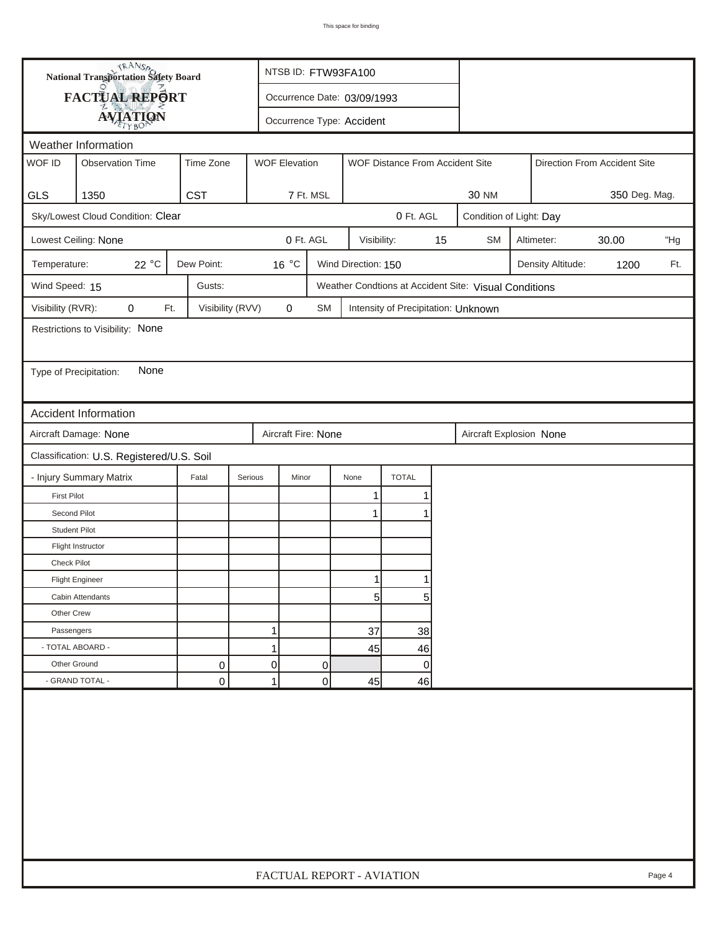|                        | <b>National Transportation Safety Board</b> |                  |         | NTSB ID: FTW93FA100         |           |                     |                                     |    |                                                          |                              |                   |       |     |
|------------------------|---------------------------------------------|------------------|---------|-----------------------------|-----------|---------------------|-------------------------------------|----|----------------------------------------------------------|------------------------------|-------------------|-------|-----|
|                        | <b>FACTUAL REPORT</b>                       |                  |         | Occurrence Date: 03/09/1993 |           |                     |                                     |    |                                                          |                              |                   |       |     |
|                        | <b>AVIATION</b>                             |                  |         | Occurrence Type: Accident   |           |                     |                                     |    |                                                          |                              |                   |       |     |
| Weather Information    |                                             |                  |         |                             |           |                     |                                     |    |                                                          |                              |                   |       |     |
| WOF ID                 | <b>Observation Time</b>                     | Time Zone        |         | <b>WOF Elevation</b>        |           |                     | WOF Distance From Accident Site     |    |                                                          | Direction From Accident Site |                   |       |     |
|                        |                                             |                  |         |                             |           |                     |                                     |    |                                                          |                              |                   |       |     |
| <b>GLS</b>             | 1350<br>Sky/Lowest Cloud Condition: Clear   | <b>CST</b>       |         | 7 Ft. MSL                   |           |                     | 0 Ft. AGL                           |    | 350 Deg. Mag.<br><b>30 NM</b><br>Condition of Light: Day |                              |                   |       |     |
|                        |                                             |                  |         |                             |           |                     |                                     |    |                                                          |                              |                   |       |     |
|                        | Lowest Ceiling: None                        |                  |         | 0 Ft. AGL                   |           | Visibility:         |                                     | 15 | <b>SM</b>                                                |                              | Altimeter:        | 30.00 | "Hg |
| Temperature:           | 22 °C                                       | Dew Point:       |         | 16 °C                       |           | Wind Direction: 150 |                                     |    |                                                          |                              | Density Altitude: | 1200  | Ft. |
| Wind Speed: 15         |                                             | Gusts:           |         |                             |           |                     |                                     |    | Weather Condtions at Accident Site: Visual Conditions    |                              |                   |       |     |
| Visibility (RVR):      | 0<br>Ft.                                    | Visibility (RVV) |         | $\mathbf 0$                 | <b>SM</b> |                     | Intensity of Precipitation: Unknown |    |                                                          |                              |                   |       |     |
|                        | Restrictions to Visibility: None            |                  |         |                             |           |                     |                                     |    |                                                          |                              |                   |       |     |
|                        |                                             |                  |         |                             |           |                     |                                     |    |                                                          |                              |                   |       |     |
| Type of Precipitation: | None                                        |                  |         |                             |           |                     |                                     |    |                                                          |                              |                   |       |     |
|                        |                                             |                  |         |                             |           |                     |                                     |    |                                                          |                              |                   |       |     |
|                        | Accident Information                        |                  |         |                             |           |                     |                                     |    |                                                          |                              |                   |       |     |
|                        | Aircraft Damage: None                       |                  |         | Aircraft Fire: None         |           |                     |                                     |    | Aircraft Explosion None                                  |                              |                   |       |     |
|                        | Classification: U.S. Registered/U.S. Soil   |                  |         |                             |           |                     |                                     |    |                                                          |                              |                   |       |     |
|                        | - Injury Summary Matrix                     | Fatal            | Serious | Minor                       |           | None                | <b>TOTAL</b>                        |    |                                                          |                              |                   |       |     |
| <b>First Pilot</b>     |                                             |                  |         |                             |           | $\mathbf{1}$        | 1                                   |    |                                                          |                              |                   |       |     |
| Second Pilot           |                                             |                  |         |                             |           | 1                   |                                     |    |                                                          |                              |                   |       |     |
| <b>Student Pilot</b>   |                                             |                  |         |                             |           |                     |                                     |    |                                                          |                              |                   |       |     |
|                        | Flight Instructor                           |                  |         |                             |           |                     |                                     |    |                                                          |                              |                   |       |     |
| Check Pilot            |                                             |                  |         |                             |           |                     |                                     |    |                                                          |                              |                   |       |     |
|                        | <b>Flight Engineer</b>                      |                  |         |                             |           | 11                  |                                     |    |                                                          |                              |                   |       |     |
|                        | Cabin Attendants                            |                  |         |                             |           | 5                   | 5                                   |    |                                                          |                              |                   |       |     |
| Other Crew             |                                             |                  |         |                             |           |                     |                                     |    |                                                          |                              |                   |       |     |
| Passengers             |                                             |                  | 1       |                             |           | 37                  | 38                                  |    |                                                          |                              |                   |       |     |
| - TOTAL ABOARD -       |                                             |                  | 1       |                             |           | 45                  | 46                                  |    |                                                          |                              |                   |       |     |
| Other Ground           |                                             | 0                | 0       | 0<br>0                      |           |                     |                                     |    |                                                          |                              |                   |       |     |
|                        | - GRAND TOTAL -                             | 0                | 1       |                             | 0         | 45                  | 46                                  |    |                                                          |                              |                   |       |     |
|                        |                                             |                  |         |                             |           |                     |                                     |    |                                                          |                              |                   |       |     |
|                        | FACTUAL REPORT - AVIATION<br>Page 4         |                  |         |                             |           |                     |                                     |    |                                                          |                              |                   |       |     |